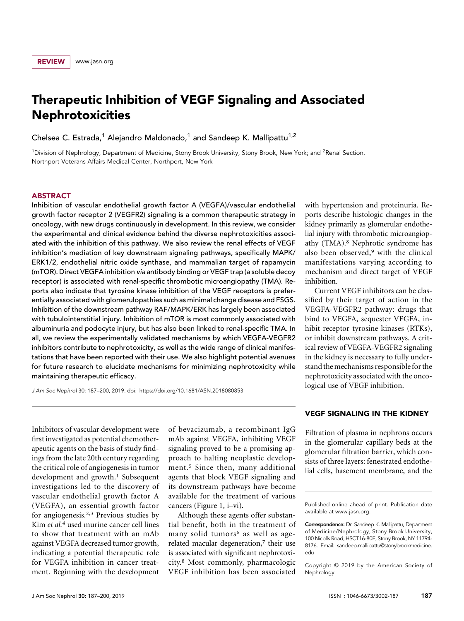# Therapeutic Inhibition of VEGF Signaling and Associated Nephrotoxicities

Chelsea C. Estrada,<sup>1</sup> Alejandro Maldonado,<sup>1</sup> and Sandeep K. Mallipattu<sup>1,2</sup>

<sup>1</sup>Division of Nephrology, Department of Medicine, Stony Brook University, Stony Brook, New York; and <sup>2</sup>Renal Section, Northport Veterans Affairs Medical Center, Northport, New York

## ABSTRACT

Inhibition of vascular endothelial growth factor A (VEGFA)/vascular endothelial growth factor receptor 2 (VEGFR2) signaling is a common therapeutic strategy in oncology, with new drugs continuously in development. In this review, we consider the experimental and clinical evidence behind the diverse nephrotoxicities associated with the inhibition of this pathway. We also review the renal effects of VEGF inhibition's mediation of key downstream signaling pathways, specifically MAPK/ ERK1/2, endothelial nitric oxide synthase, and mammalian target of rapamycin (mTOR). Direct VEGFA inhibition via antibody binding or VEGF trap (a soluble decoy receptor) is associated with renal-specific thrombotic microangiopathy (TMA). Reports also indicate that tyrosine kinase inhibition of the VEGF receptors is preferentially associated with glomerulopathies such as minimal change disease and FSGS. Inhibition of the downstream pathway RAF/MAPK/ERK has largely been associated with tubulointerstitial injury. Inhibition of mTOR is most commonly associated with albuminuria and podocyte injury, but has also been linked to renal-specific TMA. In all, we review the experimentally validated mechanisms by which VEGFA-VEGFR2 inhibitors contribute to nephrotoxicity, as well as the wide range of clinical manifestations that have been reported with their use. We also highlight potential avenues for future research to elucidate mechanisms for minimizing nephrotoxicity while maintaining therapeutic efficacy.

J Am Soc Nephrol 30: 187–200, 2019. doi:<https://doi.org/10.1681/ASN.2018080853>

with hypertension and proteinuria. Reports describe histologic changes in the kidney primarily as glomerular endothelial injury with thrombotic microangiopathy (TMA).8 Nephrotic syndrome has also been observed,9 with the clinical manifestations varying according to mechanism and direct target of VEGF inhibition.

Current VEGF inhibitors can be classified by their target of action in the VEGFA-VEGFR2 pathway: drugs that bind to VEGFA, sequester VEGFA, inhibit receptor tyrosine kinases (RTKs), or inhibit downstream pathways. A critical review of VEGFA-VEGFR2 signaling in the kidney is necessary to fully understand themechanisms responsiblefor the nephrotoxicity associated with the oncological use of VEGF inhibition.

Inhibitors of vascular development were first investigated as potential chemotherapeutic agents on the basis of study findings from the late 20th century regarding the critical role of angiogenesis in tumor development and growth.<sup>1</sup> Subsequent investigations led to the discovery of vascular endothelial growth factor A (VEGFA), an essential growth factor for angiogenesis.2,3 Previous studies by Kim et al.<sup>4</sup> used murine cancer cell lines to show that treatment with an mAb against VEGFA decreased tumor growth, indicating a potential therapeutic role for VEGFA inhibition in cancer treatment. Beginning with the development

of bevacizumab, a recombinant IgG mAb against VEGFA, inhibiting VEGF signaling proved to be a promising approach to halting neoplastic development.5 Since then, many additional agents that block VEGF signaling and its downstream pathways have become available for the treatment of various cancers (Figure 1, i–vi).

Although these agents offer substantial benefit, both in the treatment of many solid tumors<sup>6</sup> as well as agerelated macular degeneration,<sup>7</sup> their use is associated with significant nephrotoxicity.8 Most commonly, pharmacologic VEGF inhibition has been associated

#### VEGF SIGNALING IN THE KIDNEY

Filtration of plasma in nephrons occurs in the glomerular capillary beds at the glomerular filtration barrier, which consists of three layers: fenestrated endothelial cells, basement membrane, and the

Copyright © 2019 by the American Society of Nephrology

Published online ahead of print. Publication date available at [www.jasn.org.](http://www.jasn.org)

Correspondence: Dr. Sandeep K. Mallipattu, Department of Medicine/Nephrology, Stony Brook University, 100 Nicolls Road, HSCT16-80E, Stony Brook, NY 11794- 8176. Email: [sandeep.mallipattu@stonybrookmedicine.](mailto:sandeep.mallipattu@stonybrookmedicine.edu) [edu](mailto:sandeep.mallipattu@stonybrookmedicine.edu)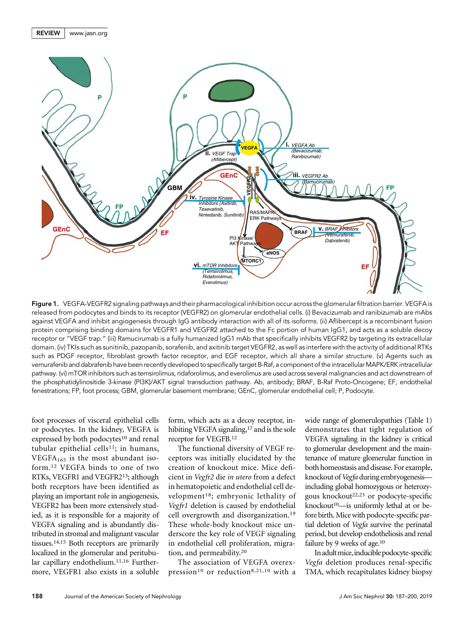



Figure 1. VEGFA-VEGFR2 signaling pathways and their pharmacological inhibition occur across the glomerular filtration barrier. VEGFA is released from podocytes and binds to its receptor (VEGFR2) on glomerular endothelial cells. (i) Bevacizumab and ranibizumab are mAbs against VEGFA and inhibit angiogenesis through IgG antibody interaction with all of its isoforms. (ii) Aflibercept is a recombinant fusion protein comprising binding domains for VEGFR1 and VEGFR2 attached to the Fc portion of human IgG1, and acts as a soluble decoy receptor or "VEGF trap." (iii) Ramucirumab is a fully humanized IgG1 mAb that specifically inhibits VEGFR2 by targeting its extracellular domain. (iv) TKIs such as sunitinib, pazopanib, sorafenib, and axitinib target VEGFR2, as well as interfere with the activity of additional RTKs such as PDGF receptor, fibroblast growth factor receptor, and EGF receptor, which all share a similar structure. (v) Agents such as vemurafenib and dabrafenib have been recently developed to specifically target B-Raf, a component of the intracellular MAPK/ERK intracellular pathway. (vi) mTOR inhibitors such as temsirolimus, ridaforolimus, and everolimus are used across several malignancies and act downstream of the phosphatidylinositide 3-kinase (PI3K)/AKT signal transduction pathway. Ab, antibody; BRAF, B-Raf Proto-Oncogene; EF, endothelial fenestrations; FP, foot process; GBM, glomerular basement membrane; GEnC, glomerular endothelial cell; P, Podocyte.

foot processes of visceral epithelial cells or podocytes. In the kidney, VEGFA is expressed by both podocytes<sup>10</sup> and renal tubular epithelial cells<sup>11</sup>; in humans, VEGFA<sub>165</sub> is the most abundant isoform.12 VEGFA binds to one of two RTKs, VEGFR1 and VEGFR213; although both receptors have been identified as playing an important role in angiogenesis, VEGFR2 has been more extensively studied, as it is responsible for a majority of VEGFA signaling and is abundantly distributed in stromal and malignant vascular tissues.14,15 Both receptors are primarily localized in the glomerular and peritubular capillary endothelium.<sup>11,16</sup> Furthermore, VEGFR1 also exists in a soluble

form, which acts as a decoy receptor, inhibiting VEGFA signaling,<sup>17</sup> and is the sole receptor for VEGFB.12

The functional diversity of VEGF receptors was initially elucidated by the creation of knockout mice. Mice deficient in Vegfr2 die in utero from a defect in hematopoietic and endothelial cell development18; embryonic lethality of Vegfr1 deletion is caused by endothelial cell overgrowth and disorganization.19 These whole-body knockout mice underscore the key role of VEGF signaling in endothelial cell proliferation, migration, and permeability.20

The association of VEGFA overexpression<sup>10</sup> or reduction<sup>8,21,10</sup> with a wide range of glomerulopathies (Table 1) demonstrates that tight regulation of VEGFA signaling in the kidney is critical to glomerular development and the maintenance of mature glomerular function in both homeostasis and disease. For example, knockout of Vegfa during embryogenesis including global homozygous or heterozygous knockout22,23 or podocyte-specific knockout<sup>10</sup>—is uniformly lethal at or before birth. Mice with podocyte-specific partial deletion of Vegfa survive the perinatal period, but develop endotheliosis and renal failure by 9 weeks of age.<sup>10</sup>

In adult mice, inducible podocyte-specific Vegfa deletion produces renal-specific TMA, which recapitulates kidney biopsy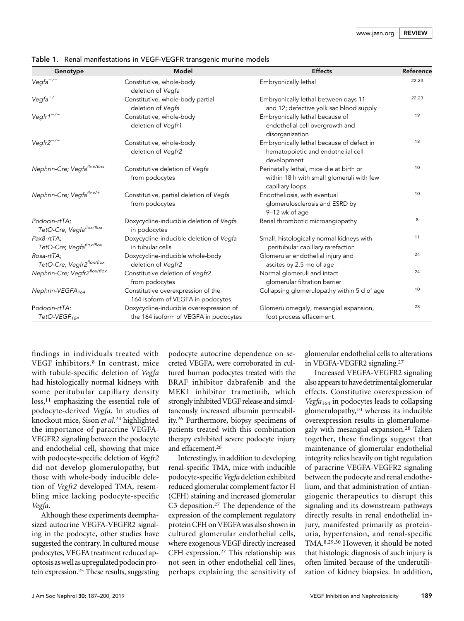| Genotype                                  | Model                                                                            | <b>Effects</b>                                                                                           | Reference |
|-------------------------------------------|----------------------------------------------------------------------------------|----------------------------------------------------------------------------------------------------------|-----------|
| $Vegfa^{-/-}$                             | Constitutive, whole-body<br>deletion of Vegfa                                    | Embryonically lethal                                                                                     | 22,23     |
| $Vegfa^{+/-}$                             | Constitutive, whole-body partial<br>deletion of Vegfa                            | Embryonically lethal between days 11<br>and 12; defective yolk sac blood supply                          | 22,23     |
| Vegfr1 <sup>-/-</sup>                     | Constitutive, whole-body<br>deletion of Vegfr1                                   | Embryonically lethal because of<br>endothelial cell overgrowth and<br>disorganization                    | 19        |
| $V$ egfr $2^{-/-}$                        | Constitutive, whole-body<br>deletion of Vegfr2                                   | Embryonically lethal because of defect in<br>hematopoietic and endothelial cell<br>development           | 18        |
| Nephrin-Cre; Vegfaflox/flox               | Constitutive deletion of Vegfa<br>from podocytes                                 | Perinatally lethal, mice die at birth or<br>within 18 h with small glomeruli with few<br>capillary loops | 10        |
| Nephrin-Cre; Vegfaflox/+                  | Constitutive, partial deletion of Vegfa<br>from podocytes                        | Endotheliosis, with eventual<br>glomerulosclerosis and ESRD by<br>9-12 wk of age                         | 10        |
| Podocin-rtTA;<br>TetO-Cre; Vegfaflox/flox | Doxycycline-inducible deletion of Vegfa<br>in podocytes                          | Renal thrombotic microangiopathy                                                                         | 8         |
| Pax8-rtTA;<br>TetO-Cre; Vegfaflox/flox    | Doxycycline-inducible deletion of Vegfa<br>in tubular cells                      | Small, histologically normal kidneys with<br>peritubular capillary rarefaction                           | 11        |
| Rosa-rtTA;<br>TetO-Cre; Vegfr2flox/flox   | Doxycycline-inducible whole-body<br>deletion of Vegfr2                           | Glomerular endothelial injury and<br>ascites by 2.5 mo of age                                            | 24        |
| Nephrin-Cre; Vegfr2flox/flox              | Constitutive deletion of Vegfr2<br>from podocytes                                | Normal glomeruli and intact<br>glomerular filtration barrier                                             | 24        |
| Nephrin-VEGFA <sub>164</sub>              | Constitutive overexpression of the<br>164 isoform of VEGFA in podocytes          | Collapsing glomerulopathy within 5 d of age                                                              | 10        |
| Podocin-rtTA:<br>TetO-VEGF <sub>164</sub> | Doxycycline-inducible overexpression of<br>the 164 isoform of VEGFA in podocytes | Glomerulomegaly, mesangial expansion,<br>foot process effacement                                         | 28        |

Table 1. Renal manifestations in VEGF-VEGFR transgenic murine models

findings in individuals treated with VEGF inhibitors.8 In contrast, mice with tubule-specific deletion of Vegfa had histologically normal kidneys with some peritubular capillary density  $loss<sub>11</sub>$  emphasizing the essential role of podocyte-derived Vegfa. In studies of knockout mice, Sison et al.<sup>24</sup> highlighted the importance of paracrine VEGFA-VEGFR2 signaling between the podocyte and endothelial cell, showing that mice with podocyte-specific deletion of Vegfr2 did not develop glomerulopathy, but those with whole-body inducible deletion of Vegfr2 developed TMA, resembling mice lacking podocyte-specific Vegfa.

Although these experiments deemphasized autocrine VEGFA-VEGFR2 signaling in the podocyte, other studies have suggested the contrary. In cultured mouse podocytes, VEGFA treatment reduced apoptosisaswell as upregulated podocin protein expression.25 These results, suggesting

podocyte autocrine dependence on secreted VEGFA, were corroborated in cultured human podocytes treated with the BRAF inhibitor dabrafenib and the MEK1 inhibitor trametinib, which strongly inhibited VEGF release and simultaneously increased albumin permeability.26 Furthermore, biopsy specimens of patients treated with this combination therapy exhibited severe podocyte injury and effacement.26

Interestingly, in addition to developing renal-specific TMA, mice with inducible podocyte-specific Vegfa deletion exhibited reduced glomerular complement factor H (CFH) staining and increased glomerular C3 deposition.27 The dependence of the expression of the complement regulatory protein CFH on VEGFAwas also shown in cultured glomerular endothelial cells, where exogenous VEGF directly increased CFH expression.27 This relationship was not seen in other endothelial cell lines, perhaps explaining the sensitivity of glomerular endothelial cells to alterations in VEGFA-VEGFR2 signaling.27

Increased VEGFA-VEGFR2 signaling alsoappears tohavedetrimentalglomerular effects. Constitutive overexpression of Vegfa<sub>164</sub> in podocytes leads to collapsing glomerulopathy,10 whereas its inducible overexpression results in glomerulomegaly with mesangial expansion.28 Taken together, these findings suggest that maintenance of glomerular endothelial integrity relies heavily on tight regulation of paracrine VEGFA-VEGFR2 signaling between the podocyte and renal endothelium, and that administration of antiangiogenic therapeutics to disrupt this signaling and its downstream pathways directly results in renal endothelial injury, manifested primarily as proteinuria, hypertension, and renal-specific TMA.8,29,30 However, it should be noted that histologic diagnosis of such injury is often limited because of the underutilization of kidney biopsies. In addition,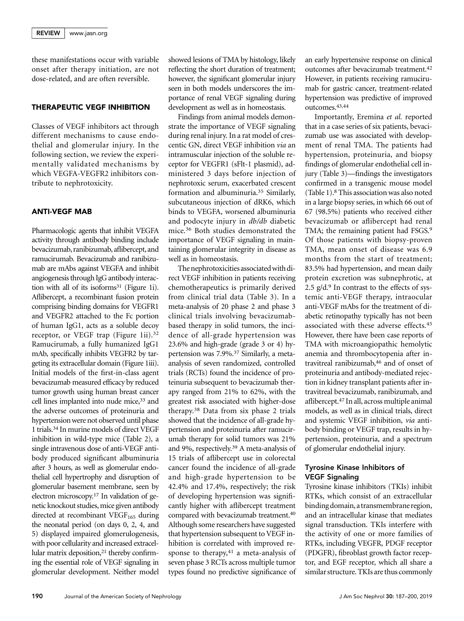these manifestations occur with variable onset after therapy initiation, are not dose-related, and are often reversible.

#### THERAPEUTIC VEGF INHIBITION

Classes of VEGF inhibitors act through different mechanisms to cause endothelial and glomerular injury. In the following section, we review the experimentally validated mechanisms by which VEGFA-VEGFR2 inhibitors contribute to nephrotoxicity.

# ANTI-VEGF MAB

Pharmacologic agents that inhibit VEGFA activity through antibody binding include bevacizumab, ranibizumab, aflibercept, and ramucirumab. Bevacizumab and ranibizumab are mAbs against VEGFA and inhibit angiogenesis through IgG antibody interaction with all of its isoforms $31$  (Figure 1i). Aflibercept, a recombinant fusion protein comprising binding domains for VEGFR1 and VEGFR2 attached to the Fc portion of human IgG1, acts as a soluble decoy receptor, or VEGF trap (Figure 1ii).<sup>32</sup> Ramucirumab, a fully humanized IgG1 mAb, specifically inhibits VEGFR2 by targeting its extracellular domain (Figure 1iii). Initial models of the first-in-class agent bevacizumab measured efficacy by reduced tumor growth using human breast cancer cell lines implanted into nude mice,<sup>33</sup> and the adverse outcomes of proteinuria and hypertension were not observed until phase 1 trials.34 In murine models of direct VEGF inhibition in wild-type mice (Table 2), a single intravenous dose of anti-VEGF antibody produced significant albuminuria after 3 hours, as well as glomerular endothelial cell hypertrophy and disruption of glomerular basement membrane, seen by electron microscopy.17 In validation of genetic knockout studies, mice given antibody directed at recombinant VEGF $_{165}$  during the neonatal period (on days 0, 2, 4, and 5) displayed impaired glomerulogenesis, with poor cellularity and increased extracellular matrix deposition,<sup>21</sup> thereby confirming the essential role of VEGF signaling in glomerular development. Neither model

showed lesions of TMA by histology, likely reflecting the short duration of treatment; however, the significant glomerular injury seen in both models underscores the importance of renal VEGF signaling during development as well as in homeostasis.

Findings from animal models demonstrate the importance of VEGF signaling during renal injury. In a rat model of crescentic GN, direct VEGF inhibition via an intramuscular injection of the soluble receptor for VEGFR1 (sFlt-1 plasmid), administered 3 days before injection of nephrotoxic serum, exacerbated crescent formation and albuminuria.35 Similarly, subcutaneous injection of dRK6, which binds to VEGFA, worsened albuminuria and podocyte injury in db/db diabetic mice.36 Both studies demonstrated the importance of VEGF signaling in maintaining glomerular integrity in disease as well as in homeostasis.

The nephrotoxicities associatedwith direct VEGF inhibition in patients receiving chemotherapeutics is primarily derived from clinical trial data (Table 3). In a meta-analysis of 20 phase 2 and phase 3 clinical trials involving bevacizumabbased therapy in solid tumors, the incidence of all-grade hypertension was 23.6% and high-grade (grade 3 or 4) hypertension was 7.9%.37 Similarly, a metaanalysis of seven randomized, controlled trials (RCTs) found the incidence of proteinuria subsequent to bevacizumab therapy ranged from 21% to 62%, with the greatest risk associated with higher-dose therapy.38 Data from six phase 2 trials showed that the incidence of all-grade hypertension and proteinuria after ramucirumab therapy for solid tumors was 21% and 9%, respectively.39 A meta-analysis of 15 trials of aflibercept use in colorectal cancer found the incidence of all-grade and high-grade hypertension to be 42.4% and 17.4%, respectively; the risk of developing hypertension was significantly higher with aflibercept treatment compared with bevacizumab treatment.40 Although some researchers have suggested that hypertension subsequent to VEGF inhibition is correlated with improved response to therapy, $41$  a meta-analysis of seven phase 3 RCTs across multiple tumor types found no predictive significance of an early hypertensive response on clinical outcomes after bevacizumab treatment.42 However, in patients receiving ramucirumab for gastric cancer, treatment-related hypertension was predictive of improved outcomes.43,44

Importantly, Eremina et al. reported that in a case series of six patients, bevacizumab use was associated with development of renal TMA. The patients had hypertension, proteinuria, and biopsy findings of glomerular endothelial cell injury (Table 3)—findings the investigators confirmed in a transgenic mouse model (Table 1).8 This association was also noted in a large biopsy series, in which 66 out of 67 (98.5%) patients who received either bevacizumab or aflibercept had renal TMA; the remaining patient had FSGS.<sup>9</sup> Of those patients with biopsy-proven TMA, mean onset of disease was 6.9 months from the start of treatment; 83.5% had hypertension, and mean daily protein excretion was subnephrotic, at 2.5  $g/d$ .<sup>9</sup> In contrast to the effects of systemic anti-VEGF therapy, intraocular anti-VEGF mAbs for the treatment of diabetic retinopathy typically has not been associated with these adverse effects.45 However, there have been case reports of TMA with microangiopathic hemolytic anemia and thrombocytopenia after intravitreal ranibizumab,46 and of onset of proteinuria and antibody-mediated rejection in kidney transplant patients after intravitreal bevacizumab, ranibizumab, and aflibercept.47 In all, across multiple animal models, as well as in clinical trials, direct and systemic VEGF inhibition, via antibody binding or VEGF trap, results in hypertension, proteinuria, and a spectrum of glomerular endothelial injury.

# Tyrosine Kinase Inhibitors of VEGF Signaling

Tyrosine kinase inhibitors (TKIs) inhibit RTKs, which consist of an extracellular binding domain, a transmembrane region, and an intracellular kinase that mediates signal transduction. TKIs interfere with the activity of one or more families of RTKs, including VEGFR, PDGF receptor (PDGFR), fibroblast growth factor receptor, and EGF receptor, which all share a similar structure. TKIs are thus commonly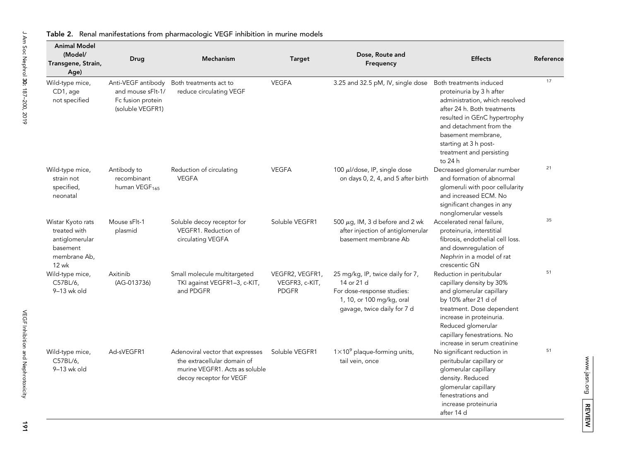| <b>Animal Model</b><br>(Model/<br>Transgene, Strain,<br>Age)                             | Drug                                                                             | <b>Mechanism</b>                                                                                                             | <b>Target</b>                                     | Dose, Route and<br>Frequency                                                                                                             | <b>Effects</b>                                                                                                                                                                                                                                         | Reference |
|------------------------------------------------------------------------------------------|----------------------------------------------------------------------------------|------------------------------------------------------------------------------------------------------------------------------|---------------------------------------------------|------------------------------------------------------------------------------------------------------------------------------------------|--------------------------------------------------------------------------------------------------------------------------------------------------------------------------------------------------------------------------------------------------------|-----------|
| Wild-type mice,<br>CD1, age<br>not specified                                             | Anti-VEGF antibody<br>and mouse sFlt-1/<br>Fc fusion protein<br>(soluble VEGFR1) | Both treatments act to<br>reduce circulating VEGF                                                                            | <b>VEGFA</b>                                      | 3.25 and 32.5 pM, IV, single dose Both treatments induced                                                                                | proteinuria by 3 h after<br>administration, which resolved<br>after 24 h. Both treatments<br>resulted in GEnC hypertrophy<br>and detachment from the<br>basement membrane,<br>starting at 3 h post-<br>treatment and persisting<br>to 24 h             | 17        |
| Wild-type mice,<br>strain not<br>specified,<br>neonatal                                  | Antibody to<br>recombinant<br>human VEGF <sub>165</sub>                          | Reduction of circulating<br><b>VEGFA</b>                                                                                     | <b>VEGFA</b>                                      | 100 $\mu$ I/dose, IP, single dose<br>on days 0, 2, 4, and 5 after birth                                                                  | Decreased glomerular number<br>and formation of abnormal<br>glomeruli with poor cellularity<br>and increased ECM. No<br>significant changes in any<br>nonglomerular vessels                                                                            | 21        |
| Wistar Kyoto rats<br>treated with<br>antiglomerular<br>basement<br>membrane Ab,<br>12 wk | Mouse sFlt-1<br>plasmid                                                          | Soluble decoy receptor for<br>VEGFR1. Reduction of<br>circulating VEGFA                                                      | Soluble VEGFR1                                    | 500 $\mu$ g, IM, 3 d before and 2 wk<br>after injection of antiglomerular<br>basement membrane Ab                                        | Accelerated renal failure,<br>proteinuria, interstitial<br>fibrosis, endothelial cell loss.<br>and downregulation of<br>Nephrin in a model of rat<br>crescentic GN                                                                                     | 35        |
| Wild-type mice,<br>C57BL/6,<br>$9-13$ wk old                                             | Axitinib<br>(AG-013736)                                                          | Small molecule multitargeted<br>TKI against VEGFR1-3, c-KIT,<br>and PDGFR                                                    | VEGFR2, VEGFR1,<br>VEGFR3, c-KIT,<br><b>PDGFR</b> | 25 mg/kg, IP, twice daily for 7,<br>14 or 21 d<br>For dose-response studies:<br>1, 10, or 100 mg/kg, oral<br>gavage, twice daily for 7 d | Reduction in peritubular<br>capillary density by 30%<br>and glomerular capillary<br>by 10% after 21 d of<br>treatment. Dose dependent<br>increase in proteinuria.<br>Reduced glomerular<br>capillary fenestrations. No<br>increase in serum creatinine | 51        |
| Wild-type mice,<br>C57BL/6,<br>$9-13$ wk old                                             | Ad-sVEGFR1                                                                       | Adenoviral vector that expresses<br>the extracellular domain of<br>murine VEGFR1. Acts as soluble<br>decoy receptor for VEGF | Soluble VEGFR1                                    | $1\times10^9$ plaque-forming units,<br>tail vein, once                                                                                   | No significant reduction in<br>peritubular capillary or<br>glomerular capillary<br>density. Reduced<br>glomerular capillary<br>fenestrations and<br>increase proteinuria<br>after 14 d                                                                 | 51        |

#### Table 2. Renal manifestations from pharmacologic VEGF inhibition in murine models

191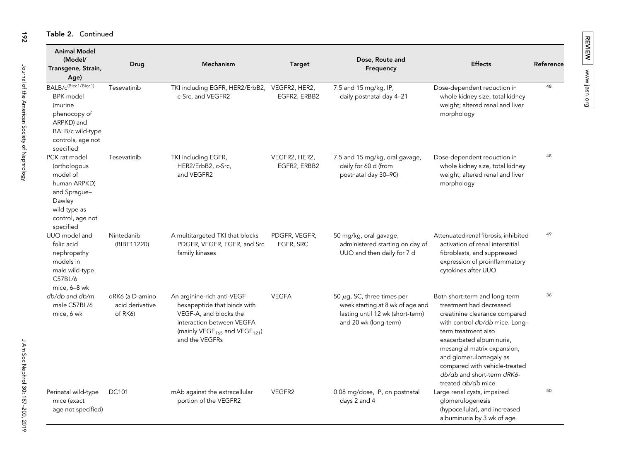### Table 2. Continued

| <b>Animal Model</b><br>(Model/<br>Transgene, Strain,<br>Age)                                                                                       | Drug                                          | Mechanism                                                                                                                                                                                   | <b>Target</b>                 | Dose, Route and<br>Frequency                                                                                                     | <b>Effects</b>                                                                                                                                                                                                                                                                                                               | Reference |
|----------------------------------------------------------------------------------------------------------------------------------------------------|-----------------------------------------------|---------------------------------------------------------------------------------------------------------------------------------------------------------------------------------------------|-------------------------------|----------------------------------------------------------------------------------------------------------------------------------|------------------------------------------------------------------------------------------------------------------------------------------------------------------------------------------------------------------------------------------------------------------------------------------------------------------------------|-----------|
| $BALB/c^{(Bicc1/Bicc1)}$<br><b>BPK</b> model<br><i>(murine</i><br>phenocopy of<br>ARPKD) and<br>BALB/c wild-type<br>controls, age not<br>specified | Tesevatinib                                   | TKI including EGFR, HER2/ErbB2, VEGFR2, HER2,<br>c-Src. and VEGFR2                                                                                                                          | EGFR2, ERBB2                  | 7.5 and 15 mg/kg, IP,<br>daily postnatal day 4-21                                                                                | Dose-dependent reduction in<br>whole kidney size, total kidney<br>weight; altered renal and liver<br>morphology                                                                                                                                                                                                              | 48        |
| PCK rat model<br>(orthologous<br>model of<br>human ARPKD)<br>and Spraque-<br>Dawley<br>wild type as<br>control, age not<br>specified               | Tesevatinib                                   | TKI including EGFR,<br>HER2/ErbB2, c-Src,<br>and VEGFR2                                                                                                                                     | VEGFR2, HER2,<br>EGFR2, ERBB2 | 7.5 and 15 mg/kg, oral gavage,<br>daily for 60 d (from<br>postnatal day 30-90)                                                   | Dose-dependent reduction in<br>whole kidney size, total kidney<br>weight; altered renal and liver<br>morphology                                                                                                                                                                                                              | 48        |
| UUO model and<br>folic acid<br>nephropathy<br>models in<br>male wild-type<br>C57BL/6<br>mice, 6-8 wk                                               | Nintedanib<br>(BIBF11220)                     | A multitargeted TKI that blocks<br>PDGFR, VEGFR, FGFR, and Src<br>family kinases                                                                                                            | PDGFR, VEGFR,<br>FGFR, SRC    | 50 mg/kg, oral gavage,<br>administered starting on day of<br>UUO and then daily for 7 d                                          | Attenuated renal fibrosis, inhibited<br>activation of renal interstitial<br>fibroblasts, and suppressed<br>expression of proinflammatory<br>cytokines after UUO                                                                                                                                                              | 49        |
| db/db and db/m<br>male C57BL/6<br>mice, 6 wk                                                                                                       | dRK6 (a D-amino<br>acid derivative<br>of RK6) | An arginine-rich anti-VEGF<br>hexapeptide that binds with<br>VEGF-A, and blocks the<br>interaction between VEGFA<br>(mainly VEGF <sub>165</sub> and VEGF <sub>121</sub> )<br>and the VEGFRs | <b>VEGFA</b>                  | 50 $\mu$ g, SC, three times per<br>week starting at 8 wk of age and<br>lasting until 12 wk (short-term)<br>and 20 wk (long-term) | Both short-term and long-term<br>treatment had decreased<br>creatinine clearance compared<br>with control db/db mice. Long-<br>term treatment also<br>exacerbated albuminuria,<br>mesangial matrix expansion,<br>and glomerulomegaly as<br>compared with vehicle-treated<br>db/db and short-term dRK6-<br>treated db/db mice | 36        |
| Perinatal wild-type<br>mice (exact<br>age not specified)                                                                                           | <b>DC101</b>                                  | mAb against the extracellular<br>portion of the VEGFR2                                                                                                                                      | VEGFR2                        | 0.08 mg/dose, IP, on postnatal<br>days 2 and 4                                                                                   | Large renal cysts, impaired<br>glomerulogenesis<br>(hypocellular), and increased<br>albuminuria by 3 wk of age                                                                                                                                                                                                               | 50        |

192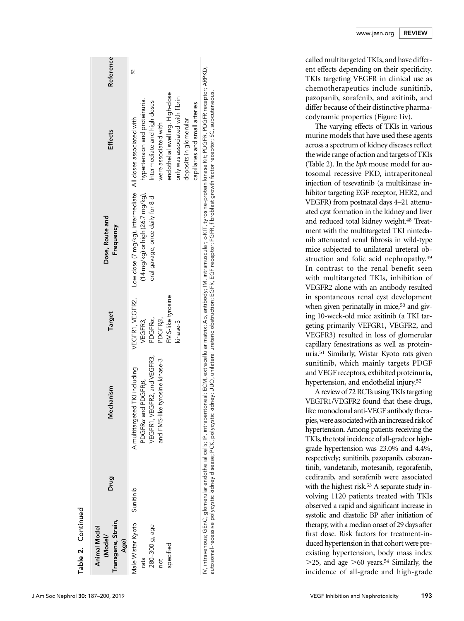| Transgene, Strain,<br>Animal Model<br>(Model/<br>Age)           | Drug      | lechanism<br>Σ                                                                                                       | Target                                                                                       | Dose, Route and<br>Frequency                                                                                                                                    | Effects                                                                                                                                                                               | Reference |
|-----------------------------------------------------------------|-----------|----------------------------------------------------------------------------------------------------------------------|----------------------------------------------------------------------------------------------|-----------------------------------------------------------------------------------------------------------------------------------------------------------------|---------------------------------------------------------------------------------------------------------------------------------------------------------------------------------------|-----------|
| 1ale Wistar Kyoto<br>280-300 g, age<br>specitied<br>rats<br>not | Sunitinib | VEGFR1, VEGFR2, and VEGFR3,<br>and FMS-like tyrosine kinase-3<br>A multitargeted TKI including<br>PDGFRa and PDGFRB, | VEGFR1, VEGFR2,<br>FMS-like tyrosine<br>PDGFRa,<br>PDGFR <sub>B</sub><br>VEGFR3,<br>kinase-3 | (14 mg/kg) or high (26.7 mg/kg), hypertension and proteinuria.<br>Low dose (7 mg/kg), intermediate All doses associated with<br>oral gavage, once daily for 8 d | endothelial swelling. High-dose<br>only was associated with fibrin<br>Intermediate and high doses<br>capillaries and small arteries<br>deposits in glomerular<br>were associated with | 52        |
| intravenous; GEnC, glomerular endothelial cells; IP, intraper   |           |                                                                                                                      |                                                                                              | ritoneal; ECM, extracellular matrix; Ab, antibody; IM, intramuscular; c-KIT, tyrosine-protein kinase Kit; PDGFR, PDGFR receptor; ARPKD,                         |                                                                                                                                                                                       |           |

IV, intravenous; GEnC, glomerular endothelial cells; IP, intraperitoneal; ECM, extracellular matrix; Ab, antibody; IM, intramuscular; c-KIT, tyrosine-protein kinase Kit; PDGFR, PDGFR receptor; ARPKD, IV, intravenous; GEnC, glomerular endothelial cells; IP, intraperitoneal; ECM, extracellular matrix; Ab, antibody; IM, intramuscular; c-KIT, tyrosine-protein kinase Kit; PDGFR, PDGFR receptor<br>autosomal-recessive polycystic autosomal-recessive polycystic kidney disease; PCK, polycystic kidney; UUO, unilateral ureteric obstruction; EGFR, EGF receptor; FGFR, fibroblast growth factor receptor; SC, subcutaneous.

called multitargeted TKIs, and have different effects depending on their specificity. TKIs targeting VEGFR in clinical use as chemotherapeutics include sunitinib, pazopanib, sorafenib, and axitinib, and differ because of their distinctive pharmacodynamic properties (Figure 1iv).

The varying effects of TKIs in various murine models that have used these agents across a spectrum of kidney diseases re flect the wide range of action and targets of TKIs (Table 2). In the bpk mouse model for autosomal recessive PKD, intraperitoneal injection of tesevatinib (a multikinase inhibitor targeting EGF receptor, HER2, and VEGFR) from postnatal days 4 –21 attenuated cyst formation in the kidney and liver and reduced total kidney weight.48 Treatment with the multitargeted TKI nintedanib attenuated renal fibrosis in wild-type mice subjected to unilateral ureteral obstruction and folic acid nephropathy.49 In contrast to the renal bene fit seen with multitargeted TKIs, inhibition of VEGFR2 alone with an antibody resulted in spontaneous renal cyst development when given perinatally in mice,<sup>50</sup> and giving 10-week-old mice axitinib (a TKI targeting primarily VEFGR1, VEGFR2, and VEGFR3) resulted in loss of glomerular capillary fenestrations as well as proteinuria.51 Similarly, Wistar Kyoto rats given sunitinib, which mainly targets PDGF and VEGF receptors, exhibited proteinuria, hypertension, and endothelial injury.52

A review of 72 RCTs using TKIs targeting VEGFR1/VEGFR2 found that these drugs, like monoclonal anti-VEGF antibody therapies, were associated with an increased risk of hypertension. Among patients receiving the TKIs, the total incidence of all-grade or highgrade hypertension was 23.0% and 4.4%, respectively; sunitinib, pazopanib, cabozantinib, vandetanib, motesanib, regorafenib, cediranib, and sorafenib were associated with the highest risk.<sup>53</sup> A separate study involving 1120 patients treated with TKIs observed a rapid and signi ficant increase in systolic and diastolic BP after initiation of therapy, with a median onset of 29 days after first dose. Risk factors for treatment-induced hypertension in that cohort were preexisting hypertension, body mass index  $>$ 25, and age  $>$ 60 years.<sup>54</sup> Similarly, the incidence of all-grade and high-grade

Table 2.

Continued

Continued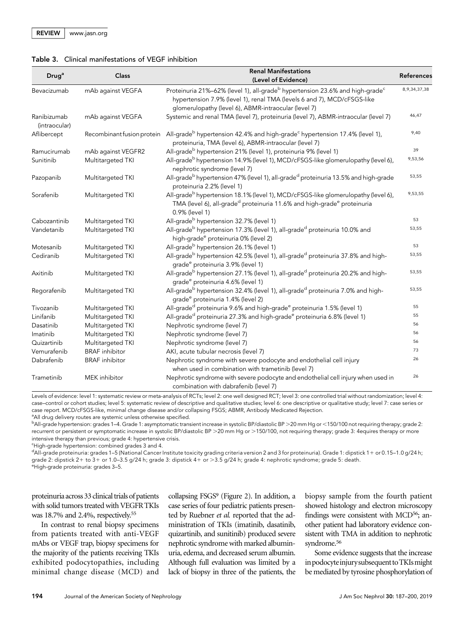|  | Table 3. Clinical manifestations of VEGF inhibition |  |
|--|-----------------------------------------------------|--|
|--|-----------------------------------------------------|--|

| Drug <sup>a</sup>            | Class                      | <b>Renal Manifestations</b><br>(Level of Evidence)                                                                                                                                                                                      | References       |
|------------------------------|----------------------------|-----------------------------------------------------------------------------------------------------------------------------------------------------------------------------------------------------------------------------------------|------------------|
| Bevacizumab                  | mAb against VEGFA          | Proteinuria 21%-62% (level 1), all-grade <sup>b</sup> hypertension 23.6% and high-grade <sup>c</sup><br>hypertension 7.9% (level 1), renal TMA (levels 6 and 7), MCD/cFSGS-like<br>glomerulopathy (level 6), ABMR-intraocular (level 7) | 8, 9, 34, 37, 38 |
| Ranibizumab<br>(intraocular) | mAb against VEGFA          | Systemic and renal TMA (level 7), proteinuria (level 7), ABMR-intraocular (level 7)                                                                                                                                                     | 46,47            |
| Aflibercept                  | Recombinant fusion protein | All-grade <sup>b</sup> hypertension 42.4% and high-grade <sup>c</sup> hypertension 17.4% (level 1),<br>proteinuria, TMA (level 6), ABMR-intraocular (level 7)                                                                           | 9,40             |
| Ramucirumab                  | mAb against VEGFR2         | All-grade <sup>b</sup> hypertension 21% (level 1), proteinuria 9% (level 1)                                                                                                                                                             | 39               |
| Sunitinib                    | Multitargeted TKI          | All-grade <sup>b</sup> hypertension 14.9% (level 1), MCD/cFSGS-like glomerulopathy (level 6),<br>nephrotic syndrome (level 7)                                                                                                           | 9,53,56          |
| Pazopanib                    | Multitargeted TKI          | All-grade <sup>b</sup> hypertension 47% (level 1), all-grade <sup>d</sup> proteinuria 13.5% and high-grade<br>proteinuria 2.2% (level 1)                                                                                                | 53,55            |
| Sorafenib                    | Multitargeted TKI          | All-grade <sup>b</sup> hypertension 18.1% (level 1), MCD/cFSGS-like glomerulopathy (level 6),<br>TMA (level 6), all-grade <sup>d</sup> proteinuria 11.6% and high-grade <sup>e</sup> proteinuria<br>0.9% (level 1)                      | 9,53,55          |
| Cabozantinib                 | Multitargeted TKI          | All-grade <sup>b</sup> hypertension 32.7% (level 1)                                                                                                                                                                                     | 53               |
| Vandetanib                   | Multitargeted TKI          | All-grade <sup>b</sup> hypertension 17.3% (level 1), all-grade <sup>d</sup> proteinuria 10.0% and<br>high-grade <sup>e</sup> proteinuria 0% (level 2)                                                                                   | 53,55            |
| Motesanib                    | Multitargeted TKI          | All-grade <sup>b</sup> hypertension 26.1% (level 1)                                                                                                                                                                                     | 53               |
| Cediranib                    | Multitargeted TKI          | All-grade <sup>b</sup> hypertension 42.5% (level 1), all-grade <sup>d</sup> proteinuria 37.8% and high-<br>grade <sup>e</sup> proteinuria 3.9% (level 1)                                                                                | 53,55            |
| Axitinib                     | Multitargeted TKI          | All-grade <sup>b</sup> hypertension 27.1% (level 1), all-grade <sup>d</sup> proteinuria 20.2% and high-<br>grade <sup>e</sup> proteinuria 4.6% (level 1)                                                                                | 53,55            |
| Regorafenib                  | Multitargeted TKI          | All-grade <sup>b</sup> hypertension 32.4% (level 1), all-grade <sup>d</sup> proteinuria 7.0% and high-<br>grade <sup>e</sup> proteinuria 1.4% (level 2)                                                                                 | 53,55            |
| Tivozanib                    | Multitargeted TKI          | All-grade <sup>d</sup> proteinuria 9.6% and high-grade <sup>e</sup> proteinuria 1.5% (level 1)                                                                                                                                          | 55               |
| Linifanib                    | Multitargeted TKI          | All-grade <sup>d</sup> proteinuria 27.3% and high-grade <sup>e</sup> proteinuria 6.8% (level 1)                                                                                                                                         | 55               |
| Dasatinib                    | Multitargeted TKI          | Nephrotic syndrome (level 7)                                                                                                                                                                                                            | 56               |
| Imatinib                     | Multitargeted TKI          | Nephrotic syndrome (level 7)                                                                                                                                                                                                            | 56               |
| Quizartinib                  | Multitargeted TKI          | Nephrotic syndrome (level 7)                                                                                                                                                                                                            | 56               |
| Vemurafenib                  | <b>BRAF</b> inhibitor      | AKI, acute tubular necrosis (level 7)                                                                                                                                                                                                   | 73               |
| Dabrafenib                   | <b>BRAF</b> inhibitor      | Nephrotic syndrome with severe podocyte and endothelial cell injury<br>when used in combination with trametinib (level 7)                                                                                                               | 26               |
| Trametinib                   | MEK inhibitor              | Nephrotic syndrome with severe podocyte and endothelial cell injury when used in<br>combination with dabrafenib (level 7)                                                                                                               | 26               |

Levels of evidence: level 1: systematic review or meta-analysis of RCTs; level 2: one well designed RCT; level 3: one controlled trial without randomization; level 4: case–control or cohort studies; level 5: systematic review of descriptive and qualitative studies; level 6: one descriptive or qualitative study; level 7: case series or case report. MCD/cFSGS-like, minimal change disease and/or collapsing FSGS; ABMR, Antibody Medicated Rejection.

<sup>a</sup> All drug delivery routes are systemic unless otherwise specified.

<sup>b</sup>All-grade hypertension: grades 1–4. Grade 1: asymptomatic transient increase in systolic BP/diastolic BP >20 mm Hg or <150/100 not requiring therapy; grade 2: recurrent or persistent or symptomatic increase in systolic BP/diastolic BP >20 mm Hg or >150/100, not requiring therapy; grade 3: 4equires therapy or more intensive therapy than previous; grade 4: hypertensive crisis.

<sup>c</sup>High-grade hypertension: combined grades 3 and 4.

d All-grade proteinuria: grades 1–5 (National Cancer Institute toxicity grading criteria version 2 and 3 for proteinuria). Grade 1: dipstick 11 or 0.15–1.0 g/24 h; grade 2: dipstick 2+ to 3+ or 1.0–3.5 g/24 h; grade 3: dipstick 4+ or >3.5 g/24 h; grade 4: nephrotic syndrome; grade 5: death.<br>°High-grade proteinuria: grades 3–5.

proteinuria across 33 clinical trials of patients with solid tumors treated with VEGFR TKIs was 18.7% and 2.4%, respectively.55

In contrast to renal biopsy specimens from patients treated with anti-VEGF mAbs or VEGF trap, biopsy specimens for the majority of the patients receiving TKIs exhibited podocytopathies, including minimal change disease (MCD) and collapsing FSGS9 (Figure 2). In addition, a case series of four pediatric patients presented by Ruebner et al. reported that the administration of TKIs (imatinib, dasatinib, quizartinib, and sunitinib) produced severe nephrotic syndrome with marked albuminuria, edema, and decreased serum albumin. Although full evaluation was limited by a lack of biopsy in three of the patients, the

biopsy sample from the fourth patient showed histology and electron microscopy findings were consistent with MCD<sup>56</sup>; another patient had laboratory evidence consistent with TMA in addition to nephrotic syndrome.56

Some evidence suggests that the increase inpodocyteinjurysubsequent toTKIsmight be mediated by tyrosine phosphorylation of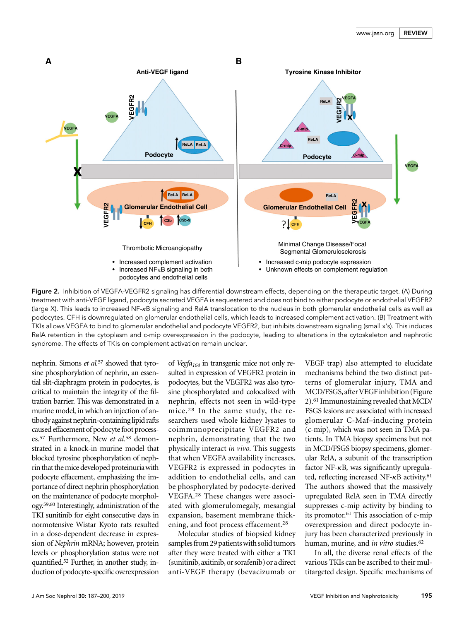

Figure 2. Inhibition of VEGFA-VEGFR2 signaling has differential downstream effects, depending on the therapeutic target. (A) During treatment with anti-VEGF ligand, podocyte secreted VEGFA is sequestered and does not bind to either podocyte or endothelial VEGFR2 (large X). This leads to increased NF-kB signaling and RelA translocation to the nucleus in both glomerular endothelial cells as well as podocytes. CFH is downregulated on glomerular endothelial cells, which leads to increased complement activation. (B) Treatment with TKIs allows VEGFA to bind to glomerular endothelial and podocyte VEGFR2, but inhibits downstream signaling (small x's). This induces RelA retention in the cytoplasm and c-mip overexpression in the podocyte, leading to alterations in the cytoskeleton and nephrotic syndrome. The effects of TKIs on complement activation remain unclear.

nephrin. Simons et al.<sup>57</sup> showed that tyrosine phosphorylation of nephrin, an essential slit-diaphragm protein in podocytes, is critical to maintain the integrity of the filtration barrier. This was demonstrated in a murine model, in which an injection of antibody against nephrin-containing lipid rafts caused effacement of podocyte foot processes.<sup>57</sup> Furthermore, New et al.<sup>58</sup> demonstrated in a knock-in murine model that blocked tyrosine phosphorylation of nephrin that themice developed proteinuriawith podocyte effacement, emphasizing the importance of direct nephrin phosphorylation on the maintenance of podocyte morphology.59,60 Interestingly, administration of the TKI sunitinib for eight consecutive days in normotensive Wistar Kyoto rats resulted in a dose-dependent decrease in expression of Nephrin mRNA; however, protein levels or phosphorylation status were not quantified.52 Further, in another study, induction of podocyte-specific overexpression of Vegfa<sub>164</sub> in transgenic mice not only resulted in expression of VEGFR2 protein in podocytes, but the VEGFR2 was also tyrosine phosphorylated and colocalized with nephrin, effects not seen in wild-type mice.28 In the same study, the researchers used whole kidney lysates to coimmunoprecipitate VEGFR2 and nephrin, demonstrating that the two physically interact in vivo. This suggests that when VEGFA availability increases, VEGFR2 is expressed in podocytes in addition to endothelial cells, and can be phosphorylated by podocyte-derived VEGFA.28 These changes were associated with glomerulomegaly, mesangial expansion, basement membrane thickening, and foot process effacement.28

Molecular studies of biopsied kidney samples from 29 patients with solid tumors after they were treated with either a TKI (sunitinib, axitinib, or sorafenib) or a direct anti-VEGF therapy (bevacizumab or

VEGF trap) also attempted to elucidate mechanisms behind the two distinct patterns of glomerular injury, TMA and MCD/FSGS, after VEGF inhibition (Figure 2).61 Immunostaining revealed that MCD/ FSGS lesions are associated with increased glomerular C-Maf–inducing protein (c-mip), which was not seen in TMA patients. In TMA biopsy specimens but not in MCD/FSGS biopsy specimens, glomerular RelA, a subunit of the transcription factor NF- $\kappa$ B, was significantly upregulated, reflecting increased NF- $\kappa$ B activity.<sup>61</sup> The authors showed that the massively upregulated RelA seen in TMA directly suppresses c-mip activity by binding to its promotor.61 This association of c-mip overexpression and direct podocyte injury has been characterized previously in human, murine, and *in vitro* studies.<sup>62</sup>

In all, the diverse renal effects of the various TKIs can be ascribed to their multitargeted design. Specific mechanisms of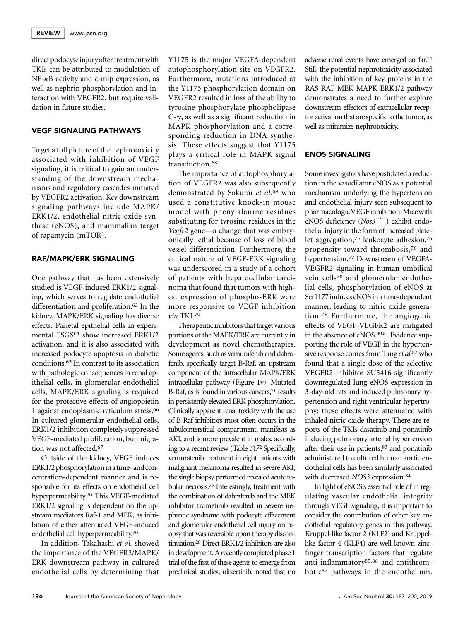direct podocyte injury after treatment with TKIs can be attributed to modulation of  $NF-\kappa B$  activity and c-mip expression, as well as nephrin phosphorylation and interaction with VEGFR2, but require validation in future studies.

## VEGF SIGNALING PATHWAYS

To get a full picture of the nephrotoxicity associated with inhibition of VEGF signaling, it is critical to gain an understanding of the downstream mechanisms and regulatory cascades initiated by VEGFR2 activation. Key downstream signaling pathways include MAPK/ ERK1/2, endothelial nitric oxide synthase (eNOS), and mammalian target of rapamycin (mTOR).

# RAF/MAPK/ERK SIGNALING

One pathway that has been extensively studied is VEGF-induced ERK1/2 signaling, which serves to regulate endothelial differentiation and proliferation.63 In the kidney, MAPK/ERK signaling has diverse effects. Parietal epithelial cells in experimental FSGS64 show increased ERK1/2 activation, and it is also associated with increased podocyte apoptosis in diabetic conditions.65 In contrast to its association with pathologic consequences in renal epithelial cells, in glomerular endothelial cells, MAPK/ERK signaling is required for the protective effects of angiopoietin 1 against endoplasmic reticulum stress.66 In cultured glomerular endothelial cells, ERK1/2 inhibition completely suppressed VEGF-mediated proliferation, but migration was not affected.67

Outside of the kidney, VEGF induces ERK1/2 phosphorylation in a time- and concentration-dependent manner and is responsible for its effects on endothelial cell hyperpermeability.20 This VEGF-mediated ERK1/2 signaling is dependent on the upstream mediators Raf-1 and MEK, as inhibition of either attenuated VEGF-induced endothelial cell hyperpermeability.20

In addition, Takahashi et al. showed the importance of the VEGFR2/MAPK/ ERK downstream pathway in cultured endothelial cells by determining that Y1175 is the major VEGFA-dependent autophosphorylation site on VEGFR2. Furthermore, mutations introduced at the Y1175 phosphorylation domain on VEGFR2 resulted in loss of the ability to tyrosine phosphorylate phospholipase  $C-\gamma$ , as well as a significant reduction in MAPK phosphorylation and a corresponding reduction in DNA synthesis. These effects suggest that Y1175 plays a critical role in MAPK signal transduction.<sup>68</sup>

The importance of autophosphorylation of VEGFR2 was also subsequently demonstrated by Sakurai et al.<sup>69</sup> who used a constitutive knock-in mouse model with phenylalanine residues substituting for tyrosine residues in the Vegfr2 gene—a change that was embryonically lethal because of loss of blood vessel differentiation. Furthermore, the critical nature of VEGF-ERK signaling was underscored in a study of a cohort of patients with hepatocellular carcinoma that found that tumors with highest expression of phospho-ERK were more responsive to VEGF inhibition via TKI.70

Therapeutic inhibitors that target various portions of the MAPK/ERK are currently in development as novel chemotherapies. Some agents, such as vemurafenib and dabrafenib, specifically target B-Raf, an upstream component of the intracellular MAPK/ERK intracellular pathway (Figure 1v). Mutated B-Raf, as is found in various cancers,<sup>71</sup> results in persistently elevated ERK phosphorylation. Clinically apparent renal toxicity with the use of B-Raf inhibitors most often occurs in the tubulointerstitial compartment, manifests as AKI, and is more prevalent in males, according to a recent review (Table 3).72 Specifically, vemurafenib treatment in eight patients with malignant melanoma resulted in severe AKI; the single biopsy performed revealed acute tubular necrosis.73 Interestingly, treatment with the combination of dabrafenib and the MEK inhibitor trametinib resulted in severe nephrotic syndrome with podocyte effacement and glomerular endothelial cell injury on biopsy that was reversible upon therapy discontinuation.26 Direct ERK1/2 inhibitors are also in development. A recently completed phase 1 trial of the first of these agents to emerge from preclinical studies, ulixertinib, noted that no

adverse renal events have emerged so far.74 Still, the potential nephrotoxicity associated with the inhibition of key proteins in the RAS-RAF-MEK-MAPK-ERK1/2 pathway demonstrates a need to further explore downstream effectors of extracellular receptor activation that are specific to the tumor, as well as minimize nephrotoxicity.

## ENOS SIGNALING

Someinvestigators have postulated a reduction in the vasodilator eNOS as a potential mechanism underlying the hypertension and endothelial injury seen subsequent to pharmacologicVEGFinhibition.Micewith eNOS deficiency  $(Nos3^{-/-})$  exhibit endothelial injury in the form of increased platelet aggregation,<sup>75</sup> leukocyte adhesion,<sup>76</sup> propensity toward thrombosis,76 and hypertension.77 Downstream of VEGFA-VEGFR2 signaling in human umbilical vein cells78 and glomerular endothelial cells, phosphorylation of eNOS at Ser1177 induces eNOS in a time-dependent manner, leading to nitric oxide generation.79 Furthermore, the angiogenic effects of VEGF-VEGFR2 are mitigated in the absence of eNOS.<sup>80,81</sup> Evidence supporting the role of VEGF in the hypertensive response comes from Tang et al.<sup>82</sup> who found that a single dose of the selective VEGFR2 inhibitor SU5416 significantly downregulated lung eNOS expression in 3-day-old rats and induced pulmonary hypertension and right ventricular hypertrophy; these effects were attenuated with inhaled nitric oxide therapy. There are reports of the TKIs dasatinib and ponatinib inducing pulmonary arterial hypertension after their use in patients,<sup>83</sup> and ponatinib administered to cultured human aortic endothelial cells has been similarly associated with decreased NOS3 expression.<sup>84</sup>

In light of eNOS's essential role of in regulating vascular endothelial integrity through VEGF signaling, it is important to consider the contribution of other key endothelial regulatory genes in this pathway. Krüppel-like factor 2 (KLF2) and Krüppellike factor 4 (KLF4) are well known zincfinger transcription factors that regulate anti-inflammatory85,86 and antithrombotic87 pathways in the endothelium.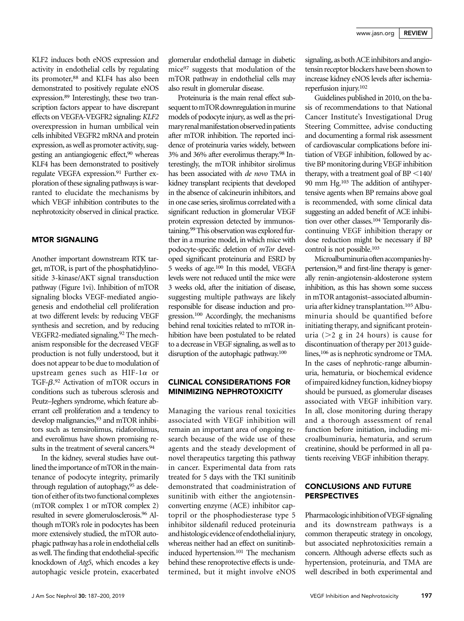KLF2 induces both eNOS expression and activity in endothelial cells by regulating its promoter,<sup>88</sup> and KLF4 has also been demonstrated to positively regulate eNOS expression.89 Interestingly, these two transcription factors appear to have discrepant effects on VEGFA-VEGFR2 signaling: KLF2 overexpression in human umbilical vein cells inhibited VEGFR2 mRNA and protein expression, as well as promoter activity, suggesting an antiangiogenic effect,90 whereas KLF4 has been demonstrated to positively regulate VEGFA expression.91 Further exploration of these signaling pathways is warranted to elucidate the mechanisms by which VEGF inhibition contributes to the nephrotoxicity observed in clinical practice.

## MTOR SIGNALING

Another important downstream RTK target, mTOR, is part of the phosphatidylinositide 3-kinase/AKT signal transduction pathway (Figure 1vi). Inhibition of mTOR signaling blocks VEGF-mediated angiogenesis and endothelial cell proliferation at two different levels: by reducing VEGF synthesis and secretion, and by reducing VEGFR2-mediated signaling.92 The mechanism responsible for the decreased VEGF production is not fully understood, but it does not appear to be due to modulation of upstream genes such as HIF-1 $\alpha$  or TGF- $\beta$ .<sup>92</sup> Activation of mTOR occurs in conditions such as typerous sclerosis and conditions such as tuberous sclerosis and Peutz–Jeghers syndrome, which feature aberrant cell proliferation and a tendency to develop malignancies, <sup>93</sup> and mTOR inhibitors such as temsirolimus, ridaforolimus, and everolimus have shown promising results in the treatment of several cancers.<sup>94</sup>

In the kidney, several studies have outlined the importance of mTOR in the maintenance of podocyte integrity, primarily through regulation of autophagy,<sup>95</sup> as deletion of either of its two functional complexes (mTOR complex 1 or mTOR complex 2) resulted in severe glomerulosclerosis.96 Although mTOR's role in podocytes has been more extensively studied, the mTOR autophagic pathway has a role in endothelial cells as well. The finding that endothelial-specific knockdown of Atg5, which encodes a key autophagic vesicle protein, exacerbated

glomerular endothelial damage in diabetic mice97 suggests that modulation of the mTOR pathway in endothelial cells may also result in glomerular disease.

Proteinuria is the main renal effect subsequent to mTOR downregulation in murine models of podocyte injury, as well as the primary renal manifestation observed in patients after mTOR inhibition. The reported incidence of proteinuria varies widely, between 3% and 36% after everolimus therapy.98 Interestingly, the mTOR inhibitor sirolimus has been associated with de novo TMA in kidney transplant recipients that developed in the absence of calcineurin inhibitors, and in one case series, sirolimus correlated with a significant reduction in glomerular VEGF protein expression detected by immunostaining.<sup>99</sup> This observation was explored further in a murine model, in which mice with podocyte-specific deletion of mTor developed significant proteinuria and ESRD by 5 weeks of age.100 In this model, VEGFA levels were not reduced until the mice were 3 weeks old, after the initiation of disease, suggesting multiple pathways are likely responsible for disease induction and progression.100 Accordingly, the mechanisms behind renal toxicities related to mTOR inhibition have been postulated to be related to a decrease in VEGF signaling, as well as to disruption of the autophagic pathway.100

# CLINICAL CONSIDERATIONS FOR MINIMIZING NEPHROTOXICITY

Managing the various renal toxicities associated with VEGF inhibition will remain an important area of ongoing research because of the wide use of these agents and the steady development of novel therapeutics targeting this pathway in cancer. Experimental data from rats treated for 5 days with the TKI sunitinib demonstrated that coadministration of sunitinib with either the angiotensinconverting enzyme (ACE) inhibitor captopril or the phosphodiesterase type 5 inhibitor sildenafil reduced proteinuria and histologic evidence of endothelial injury, whereas neither had an effect on sunitinibinduced hypertension.101 The mechanism behind these renoprotective effects is undetermined, but it might involve eNOS

signaling, as both ACE inhibitors and angiotensin receptor blockers have been shown to increase kidney eNOS levels after ischemiareperfusion injury.102

Guidelines published in 2010, on the basis of recommendations to that National Cancer Institute's Investigational Drug Steering Committee, advise conducting and documenting a formal risk assessment of cardiovascular complications before initiation of VEGF inhibition, followed by active BP monitoring during VEGF inhibition therapy, with a treatment goal of  $BP < 140/$ 90 mm Hg.103 The addition of antihypertensive agents when BP remains above goal is recommended, with some clinical data suggesting an added benefit of ACE inhibition over other classes.104 Temporarily discontinuing VEGF inhibition therapy or dose reduction might be necessary if BP control is not possible.103

Microalbuminuria often accompanieshypertension,38 and first-line therapy is generally renin-angiotensin-aldosterone system inhibition, as this has shown some success in mTOR antagonist–associated albuminuria after kidney transplantation.<sup>105</sup> Albuminuria should be quantified before initiating therapy, and significant proteinuria ( $>2$  g in 24 hours) is cause for discontinuation of therapy per 2013 guidelines,<sup>106</sup> as is nephrotic syndrome or TMA. In the cases of nephrotic-range albuminuria, hematuria, or biochemical evidence of impaired kidney function, kidney biopsy should be pursued, as glomerular diseases associated with VEGF inhibition vary. In all, close monitoring during therapy and a thorough assessment of renal function before initiation, including microalbuminuria, hematuria, and serum creatinine, should be performed in all patients receiving VEGF inhibition therapy.

# CONCLUSIONS AND FUTURE PERSPECTIVES

PharmacologicinhibitionofVEGF signaling and its downstream pathways is a common therapeutic strategy in oncology, but associated nephrotoxicities remain a concern. Although adverse effects such as hypertension, proteinuria, and TMA are well described in both experimental and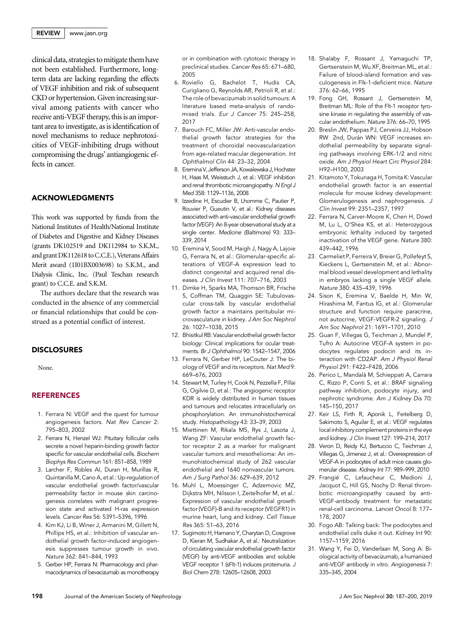clinical data, strategies tomitigate them have not been established. Furthermore, longterm data are lacking regarding the effects of VEGF inhibition and risk of subsequent CKD or hypertension.Given increasing survival among patients with cancer who receive anti-VEGF therapy, this is an important area to investigate, as is identification of novel mechanisms to reduce nephrotoxicities of VEGF-inhibiting drugs without compromising the drugs' antiangiogenic effects in cancer.

# ACKNOWLEDGMENTS

This work was supported by funds from the National Institutes of Health/National Institute of Diabetes and Digestive and Kidney Diseases (grants DK102519 and DK112984 to S.K.M., and grant DK112618 to C.C.E.), Veterans Affairs Merit award (1I01BX003698) to S.K.M., and Dialysis Clinic, Inc. (Paul Teschan research grant) to C.C.E. and S.K.M.

The authors declare that the research was conducted in the absence of any commercial or financial relationships that could be construed as a potential conflict of interest.

#### **DISCLOSURES**

None.

#### REFERENCES

- 1. Ferrara N: VEGF and the quest for tumour angiogenesis factors. Nat Rev Cancer 2: 795–803, 2002
- 2. Ferrara N, Henzel WJ: Pituitary follicular cells secrete a novel heparin-binding growth factor specific for vascular endothelial cells. Biochem Biophys Res Commun 161: 851–858, 1989
- 3. Larcher F, Robles AI, Duran H, Murillas R, Quintanilla M, Cano A, et al.: Up-regulation of vascular endothelial growth factor/vascular permeability factor in mouse skin carcinogenesis correlates with malignant progression state and activated H-ras expression levels. Cancer Res 56: 5391–5396, 1996
- 4. Kim KJ, Li B, Winer J, Armanini M, Gillett N, Phillips HS, et al.: Inhibition of vascular endothelial growth factor-induced angiogenesis suppresses tumour growth in vivo. Nature 362: 841–844, 1993
- 5. Gerber HP, Ferrara N: Pharmacology and pharmacodynamics of bevacizumab as monotherapy

or in combination with cytotoxic therapy in preclinical studies. Cancer Res 65: 671–680, 2005

- 6. Roviello G, Bachelot T, Hudis CA, Curigliano G, Reynolds AR, Petrioli R, et al.: The role of bevacizumab in solid tumours: A literature based meta-analysis of randomised trials. Eur J Cancer 75: 245–258, 2017
- 7. Barouch FC, Miller JW: Anti-vascular endothelial growth factor strategies for the treatment of choroidal neovascularization from age-related macular degeneration. Int Ophthalmol Clin 44: 23–32, 2004
- 8. Eremina V, Jefferson JA, Kowalewska J, Hochster H, Haas M, Weisstuch J, et al.: VEGF inhibition and renal thrombotic microangiopathy. N Engl J Med 358: 1129–1136, 2008
- 9. Izzedine H, Escudier B, Lhomme C, Pautier P, Rouvier P, Gueutin V, et al.: Kidney diseases associated with anti-vascular endothelial growth factor (VEGF): An 8-year observational study at a single center. Medicine (Baltimore) 93: 333– 339, 2014
- 10. Eremina V, Sood M, Haigh J, Nagy A, Lajoie G, Ferrara N, et al.: Glomerular-specific alterations of VEGF-A expression lead to distinct congenital and acquired renal diseases. J Clin Invest 111: 707–716, 2003
- 11. Dimke H, Sparks MA, Thomson BR, Frische S, Coffman TM, Quaggin SE: Tubulovascular cross-talk by vascular endothelial growth factor a maintains peritubular microvasculature in kidney. J Am Soc Nephrol 26: 1027–1038, 2015
- 12. Bhisitkul RB: Vascular endothelial growth factor biology: Clinical implications for ocular treatments. Br J Ophthalmol 90: 1542–1547, 2006
- 13. Ferrara N, Gerber HP, LeCouter J: The biology of VEGF and its receptors. Nat Med 9: 669–676, 2003
- 14. Stewart M, Turley H, Cook N, Pezzella F, Pillai G, Ogilvie D, et al.: The angiogenic receptor KDR is widely distributed in human tissues and tumours and relocates intracellularly on phosphorylation. An immunohistochemical study. Histopathology 43: 33–39, 2003
- 15. Miettinen M, Rikala MS, Rys J, Lasota J, Wang ZF: Vascular endothelial growth factor receptor 2 as a marker for malignant vascular tumors and mesothelioma: An immunohistochemical study of 262 vascular endothelial and 1640 nonvascular tumors. Am J Surg Pathol 36: 629–639, 2012
- 16. Muhl L, Moessinger C, Adzemovic MZ, Dijkstra MH, Nilsson I, Zeitelhofer M, et al.: Expression of vascular endothelial growth factor (VEGF)-B and its receptor (VEGFR1) in murine heart, lung and kidney. Cell Tissue Res 365: 51–63, 2016
- 17. Sugimoto H, Hamano Y, Charytan D, Cosgrove D, Kieran M, Sudhakar A, et al.: Neutralization of circulating vascular endothelial growth factor (VEGF) by anti-VEGF antibodies and soluble VEGF receptor 1 (sFlt-1) induces proteinuria. J Biol Chem 278: 12605–12608, 2003
- 18. Shalaby F, Rossant J, Yamaguchi TP, Gertsenstein M, Wu XF, Breitman ML, et al.: Failure of blood-island formation and vasculogenesis in Flk-1-deficient mice. Nature 376: 62–66, 1995
- 19. Fong GH, Rossant J, Gertsenstein M, Breitman ML: Role of the Flt-1 receptor tyrosine kinase in regulating the assembly of vascular endothelium. Nature 376: 66–70, 1995
- 20. Breslin JW, Pappas PJ, Cerveira JJ, Hobson RW 2nd, Durán WN: VEGF increases endothelial permeability by separate signaling pathways involving ERK-1/2 and nitric oxide. Am J Physiol Heart Circ Physiol 284: H92–H100, 2003
- 21. Kitamoto Y, Tokunaga H, Tomita K: Vascular endothelial growth factor is an essential molecule for mouse kidney development: Glomerulogenesis and nephrogenesis. J Clin Invest 99: 2351–2357, 1997
- 22. Ferrara N, Carver-Moore K, Chen H, Dowd M, Lu L, O'Shea KS, et al.: Heterozygous embryonic lethality induced by targeted inactivation of the VEGF gene. Nature 380: 439–442, 1996
- 23. Carmeliet P, Ferreira V, Breier G, Pollefeyt S, Kieckens L, Gertsenstein M, et al.: Abnormal blood vessel development and lethality in embryos lacking a single VEGF allele. Nature 380: 435–439, 1996
- 24. Sison K, Eremina V, Baelde H, Min W, Hirashima M, Fantus IG, et al.: Glomerular structure and function require paracrine, not autocrine, VEGF-VEGFR-2 signaling. J Am Soc Nephrol 21: 1691–1701, 2010
- 25. Guan F, Villegas G, Teichman J, Mundel P, Tufro A: Autocrine VEGF-A system in podocytes regulates podocin and its interaction with CD2AP. Am J Physiol Renal Physiol 291: F422–F428, 2006
- 26. Perico L, Mandalà M, Schieppati A, Carrara C, Rizzo P, Conti S, et al.: BRAF signaling pathway inhibition, podocyte injury, and nephrotic syndrome. Am J Kidney Dis 70: 145–150, 2017
- 27. Keir LS, Firth R, Aponik L, Feitelberg D, Sakimoto S, Aguilar E, et al.: VEGF regulates local inhibitory complement proteins in the eye and kidney. J Clin Invest 127: 199–214, 2017
- 28. Veron D, Reidy KJ, Bertuccio C, Teichman J, Villegas G, Jimenez J, et al.: Overexpression of VEGF-A in podocytes of adult mice causes glomerular disease. Kidney Int 77: 989–999, 2010
- 29. Frangié C, Lefaucheur C, Medioni J, Jacquot C, Hill GS, Nochy D: Renal thrombotic microangiopathy caused by anti-VEGF-antibody treatment for metastatic renal-cell carcinoma. Lancet Oncol 8: 177– 178, 2007
- 30. Fogo AB: Talking back: The podocytes and endothelial cells duke it out. Kidney Int 90: 1157–1159, 2016
- 31. Wang Y, Fei D, Vanderlaan M, Song A: Biological activity of bevacizumab, a humanized anti-VEGF antibody in vitro. Angiogenesis 7: 335–345, 2004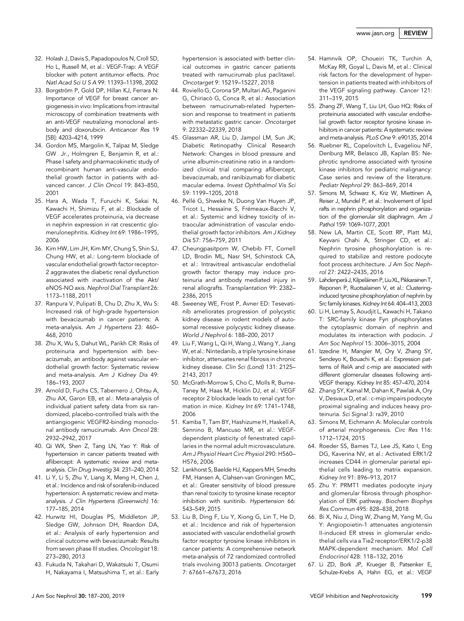- 32. Holash J, Davis S, Papadopoulos N, Croll SD, Ho L, Russell M, et al.: VEGF-Trap: A VEGF blocker with potent antitumor effects. Proc Natl Acad Sci U S A 99: 11393–11398, 2002
- 33. Borgström P, Gold DP, Hillan KJ, Ferrara N: Importance of VEGF for breast cancer angiogenesis in vivo: Implications from intravital microscopy of combination treatments with an anti-VEGF neutralizing monoclonal antibody and doxorubicin. Anticancer Res 19 [5B]: 4203–4214, 1999
- 34. Gordon MS, Margolin K, Talpaz M, Sledge GW Jr., Holmgren E, Benjamin R, et al.: Phase I safety and pharmacokinetic study of recombinant human anti-vascular endothelial growth factor in patients with advanced cancer. J Clin Oncol 19: 843–850, 2001
- 35. Hara A, Wada T, Furuichi K, Sakai N, Kawachi H, Shimizu F, et al.: Blockade of VEGF accelerates proteinuria, via decrease in nephrin expression in rat crescentic glomerulonephritis. Kidney Int 69: 1986–1995, 2006
- 36. Kim HW, Lim JH, Kim MY, Chung S, Shin SJ, Chung HW, et al.: Long-term blockade of vascular endothelial growth factor receptor-2 aggravates the diabetic renal dysfunction associated with inactivation of the Akt/ eNOS-NO axis. Nephrol Dial Transplant 26: 1173–1188, 2011
- 37. Ranpura V, Pulipati B, Chu D, Zhu X, Wu S: Increased risk of high-grade hypertension with bevacizumab in cancer patients: A meta-analysis. Am J Hypertens 23: 460– 468, 2010
- 38. Zhu X, Wu S, Dahut WL, Parikh CR: Risks of proteinuria and hypertension with bevacizumab, an antibody against vascular endothelial growth factor: Systematic review and meta-analysis. Am J Kidney Dis 49: 186–193, 2007
- 39. Arnold D, Fuchs CS, Tabernero J, Ohtsu A, Zhu AX, Garon EB, et al.: Meta-analysis of individual patient safety data from six randomized, placebo-controlled trials with the antiangiogenic VEGFR2-binding monoclonal antibody ramucirumab. Ann Oncol 28: 2932–2942, 2017
- 40. Qi WX, Shen Z, Tang LN, Yao Y: Risk of hypertension in cancer patients treated with aflibercept: A systematic review and metaanalysis. Clin Drug Investig 34: 231–240, 2014
- 41. Li Y, Li S, Zhu Y, Liang X, Meng H, Chen J, et al.: Incidence and risk of sorafenib-induced hypertension: A systematic review and metaanalysis. J Clin Hypertens (Greenwich) 16: 177–185, 2014
- 42. Hurwitz HI, Douglas PS, Middleton JP, Sledge GW, Johnson DH, Reardon DA, et al.: Analysis of early hypertension and clinical outcome with bevacizumab: Results from seven phase III studies. Oncologist 18: 273–280, 2013
- 43. Fukuda N, Takahari D, Wakatsuki T, Osumi H, Nakayama I, Matsushima T, et al.: Early

hypertension is associated with better clinical outcomes in gastric cancer patients treated with ramucirumab plus paclitaxel. Oncotarget 9: 15219–15227, 2018

- 44. Roviello G, Corona SP, Multari AG, Paganini G, Chiriacò G, Conca R, et al.: Association between ramucirumab-related hypertension and response to treatment in patients with metastatic gastric cancer. Oncotarget 9: 22332–22339, 2018
- 45. Glassman AR, Liu D, Jampol LM, Sun JK; Diabetic Retinopathy Clinical Research Network: Changes in blood pressure and urine albumin-creatinine ratio in a randomized clinical trial comparing aflibercept, bevacizumab, and ranibizumab for diabetic macular edema. Invest Ophthalmol Vis Sci 59: 1199–1205, 2018
- 46. Pellé G, Shweke N, Duong Van Huyen JP, Tricot L, Hessaïne S, Frémeaux-Bacchi V, et al.: Systemic and kidney toxicity of intraocular administration of vascular endothelial growth factor inhibitors. Am J Kidney Dis 57: 756–759, 2011
- 47. Cheungpasitporn W, Chebib FT, Cornell LD, Brodin ML, Nasr SH, Schinstock CA, et al.: Intravitreal antivascular endothelial growth factor therapy may induce proteinuria and antibody mediated injury in renal allografts. Transplantation 99: 2382– 2386, 2015
- 48. Sweeney WE, Frost P, Avner ED: Tesevatinib ameliorates progression of polycystic kidney disease in rodent models of autosomal recessive polycystic kidney disease. World J Nephrol 6: 188–200, 2017
- 49. Liu F, Wang L, Qi H, Wang J, Wang Y, Jiang W, et al.: Nintedanib, a triple tyrosine kinase inhibitor, attenuates renal fibrosis in chronic kidney disease. Clin Sci (Lond) 131: 2125– 2143, 2017
- 50. McGrath-Morrow S, Cho C, Molls R, Burne-Taney M, Haas M, Hicklin DJ, et al.: VEGF receptor 2 blockade leads to renal cyst formation in mice. Kidney Int 69: 1741–1748, 2006
- 51. Kamba T, Tam BY, Hashizume H, Haskell A, Sennino B, Mancuso MR, et al.: VEGFdependent plasticity of fenestrated capillaries in the normal adult microvasculature. Am J Physiol Heart Circ Physiol 290: H560– H576, 2006
- 52. Lankhorst S, Baelde HJ, Kappers MH, Smedts FM, Hansen A, Clahsen-van Groningen MC, et al.: Greater sensitivity of blood pressure than renal toxicity to tyrosine kinase receptor inhibition with sunitinib. Hypertension 66: 543–549, 2015
- 53. Liu B, Ding F, Liu Y, Xiong G, Lin T, He D, et al.: Incidence and risk of hypertension associated with vascular endothelial growth factor receptor tyrosine kinase inhibitors in cancer patients: A comprehensive network meta-analysis of 72 randomized controlled trials involving 30013 patients. Oncotarget 7: 67661–67673, 2016
- 54. Hamnvik OP, Choueiri TK, Turchin A, McKay RR, Goyal L, Davis M, et al.: Clinical risk factors for the development of hypertension in patients treated with inhibitors of the VEGF signaling pathway. Cancer 121: 311–319, 2015
- 55. Zhang ZF, Wang T, Liu LH, Guo HQ: Risks of proteinuria associated with vascular endothelial growth factor receptor tyrosine kinase inhibitors in cancer patients: A systematic review and meta-analysis. PLoS One 9: e90135, 2014
- 56. Ruebner RL, Copelovitch L, Evageliou NF, Denburg MR, Belasco JB, Kaplan BS: Nephrotic syndrome associated with tyrosine kinase inhibitors for pediatric malignancy: Case series and review of the literature. Pediatr Nephrol 29: 863–869, 2014
- 57. Simons M, Schwarz K, Kriz W, Miettinen A, Reiser J, Mundel P, et al.: Involvement of lipid rafts in nephrin phosphorylation and organization of the glomerular slit diaphragm. Am J Pathol 159: 1069–1077, 2001
- 58. New LA, Martin CE, Scott RP, Platt MJ, Keyvani Chahi A, Stringer CD, et al.: Nephrin tyrosine phosphorylation is required to stabilize and restore podocyte foot process architecture. J Am Soc Nephrol 27: 2422–2435, 2016
- 59. Lahdenperä J, Kilpeläinen P, Liu XL, Pikkarainen T, Reponen P, Ruotsalainen V, et al.: Clusteringinduced tyrosine phosphorylation of nephrin by Src family kinases. Kidney Int 64: 404–413, 2003
- 60. Li H, Lemay S, Aoudjit L, Kawachi H, Takano T: SRC-family kinase Fyn phosphorylates the cytoplasmic domain of nephrin and modulates its interaction with podocin. J Am Soc Nephrol 15: 3006–3015, 2004
- 61. Izzedine H, Mangier M, Ory V, Zhang SY, Sendeyo K, Bouachi K, et al.: Expression patterns of RelA and c-mip are associated with different glomerular diseases following anti-VEGF therapy. Kidney Int 85: 457–470, 2014
- 62. Zhang SY, Kamal M, Dahan K, Pawlak A, Ory V, Desvaux D, et al.: c-mip impairs podocyte proximal signaling and induces heavy proteinuria. Sci Signal 3: ra39, 2010
- 63. Simons M, Eichmann A: Molecular controls of arterial morphogenesis. Circ Res 116: 1712–1724, 2015
- 64. Roeder SS, Barnes TJ, Lee JS, Kato I, Eng DG, Kaverina NV, et al.: Activated ERK1/2 increases CD44 in glomerular parietal epithelial cells leading to matrix expansion. Kidney Int 91: 896–913, 2017
- 65. Zhu Y: PRMT1 mediates podocyte injury and glomerular fibrosis through phosphorylation of ERK pathway. Biochem Biophys Res Commun 495: 828–838, 2018
- 66. Bi X, Niu J, Ding W, Zhang M, Yang M, Gu Y: Angiopoietin-1 attenuates angiotensin II-induced ER stress in glomerular endothelial cells via a Tie2 receptor/ERK1/2-p38 MAPK-dependent mechanism. Mol Cell Endocrinol 428: 118–132, 2016
- 67. Li ZD, Bork JP, Krueger B, Patsenker E, Schulze-Krebs A, Hahn EG, et al.: VEGF